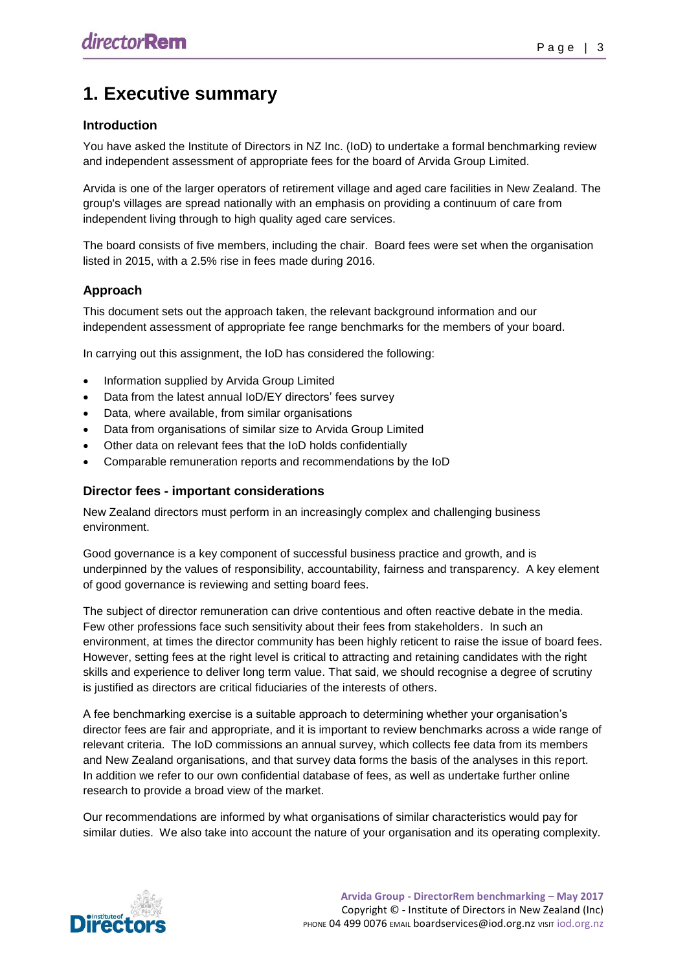# **1. Executive summary**

## **Introduction**

You have asked the Institute of Directors in NZ Inc. (IoD) to undertake a formal benchmarking review and independent assessment of appropriate fees for the board of Arvida Group Limited.

Arvida is one of the larger operators of retirement village and aged care facilities in New Zealand. The group's villages are spread nationally with an emphasis on providing a continuum of care from independent living through to high quality aged care services.

The board consists of five members, including the chair. Board fees were set when the organisation listed in 2015, with a 2.5% rise in fees made during 2016.

# **Approach**

This document sets out the approach taken, the relevant background information and our independent assessment of appropriate fee range benchmarks for the members of your board.

In carrying out this assignment, the IoD has considered the following:

- Information supplied by Arvida Group Limited
- Data from the latest annual IoD/EY directors' fees survey
- Data, where available, from similar organisations
- Data from organisations of similar size to Arvida Group Limited
- Other data on relevant fees that the IoD holds confidentially
- Comparable remuneration reports and recommendations by the IoD

#### **Director fees - important considerations**

New Zealand directors must perform in an increasingly complex and challenging business environment.

Good governance is a key component of successful business practice and growth, and is underpinned by the values of responsibility, accountability, fairness and transparency. A key element of good governance is reviewing and setting board fees.

The subject of director remuneration can drive contentious and often reactive debate in the media. Few other professions face such sensitivity about their fees from stakeholders. In such an environment, at times the director community has been highly reticent to raise the issue of board fees. However, setting fees at the right level is critical to attracting and retaining candidates with the right skills and experience to deliver long term value. That said, we should recognise a degree of scrutiny is justified as directors are critical fiduciaries of the interests of others.

A fee benchmarking exercise is a suitable approach to determining whether your organisation's director fees are fair and appropriate, and it is important to review benchmarks across a wide range of relevant criteria. The IoD commissions an annual survey, which collects fee data from its members and New Zealand organisations, and that survey data forms the basis of the analyses in this report. In addition we refer to our own confidential database of fees, as well as undertake further online research to provide a broad view of the market.

Our recommendations are informed by what organisations of similar characteristics would pay for similar duties. We also take into account the nature of your organisation and its operating complexity.